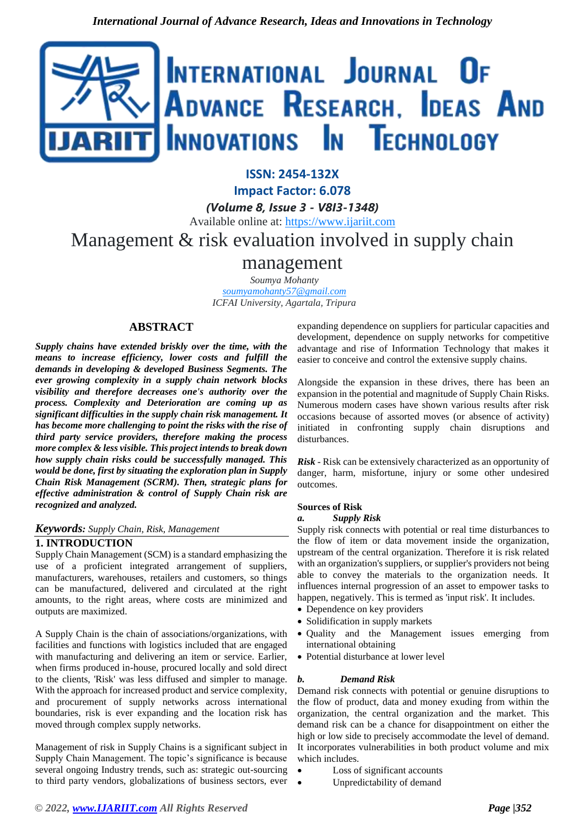

**ISSN: 2454-132X**

**Impact Factor: 6.078**

*(Volume 8, Issue 3 - V8I3-1348)* Available online at: [https://www.ijariit.com](https://www.ijariit.com/?utm_source=pdf&utm_medium=edition&utm_campaign=OmAkSols&utm_term=V8I3-1348) Management & risk evaluation involved in supply chain

# management

*Soumya Mohanty [soumyamohanty57@gmail.com](mailto:soumyamohanty57@gmail.com) ICFAI University, Agartala, Tripura*

# **ABSTRACT**

*Supply chains have extended briskly over the time, with the means to increase efficiency, lower costs and fulfill the demands in developing & developed Business Segments. The ever growing complexity in a supply chain network blocks visibility and therefore decreases one's authority over the process. Complexity and Deterioration are coming up as significant difficulties in the supply chain risk management. It has become more challenging to point the risks with the rise of third party service providers, therefore making the process more complex & less visible. This project intends to break down how supply chain risks could be successfully managed. This would be done, first by situating the exploration plan in Supply Chain Risk Management (SCRM). Then, strategic plans for effective administration & control of Supply Chain risk are recognized and analyzed.*

# *Keywords: Supply Chain, Risk, Management*

# **1. INTRODUCTION**

Supply Chain Management (SCM) is a standard emphasizing the use of a proficient integrated arrangement of suppliers, manufacturers, warehouses, retailers and customers, so things can be manufactured, delivered and circulated at the right amounts, to the right areas, where costs are minimized and outputs are maximized.

A Supply Chain is the chain of associations/organizations, with facilities and functions with logistics included that are engaged with manufacturing and delivering an item or service. Earlier, when firms produced in-house, procured locally and sold direct to the clients, 'Risk' was less diffused and simpler to manage. With the approach for increased product and service complexity, and procurement of supply networks across international boundaries, risk is ever expanding and the location risk has moved through complex supply networks.

Management of risk in Supply Chains is a significant subject in Supply Chain Management. The topic's significance is because several ongoing Industry trends, such as: strategic out-sourcing to third party vendors, globalizations of business sectors, ever expanding dependence on suppliers for particular capacities and development, dependence on supply networks for competitive advantage and rise of Information Technology that makes it easier to conceive and control the extensive supply chains.

Alongside the expansion in these drives, there has been an expansion in the potential and magnitude of Supply Chain Risks. Numerous modern cases have shown various results after risk occasions because of assorted moves (or absence of activity) initiated in confronting supply chain disruptions and disturbances.

*Risk* - Risk can be extensively characterized as an opportunity of danger, harm, misfortune, injury or some other undesired outcomes.

#### **Sources of Risk**

#### *a. Supply Risk*

Supply risk connects with potential or real time disturbances to the flow of item or data movement inside the organization, upstream of the central organization. Therefore it is risk related with an organization's suppliers, or supplier's providers not being able to convey the materials to the organization needs. It influences internal progression of an asset to empower tasks to happen, negatively. This is termed as 'input risk'. It includes.

- Dependence on key providers
- Solidification in supply markets
- Quality and the Management issues emerging from international obtaining
- Potential disturbance at lower level

# *b.**Demand Risk*

Demand risk connects with potential or genuine disruptions to the flow of product, data and money exuding from within the organization, the central organization and the market. This demand risk can be a chance for disappointment on either the high or low side to precisely accommodate the level of demand. It incorporates vulnerabilities in both product volume and mix which includes.

- Loss of significant accounts
- Unpredictability of demand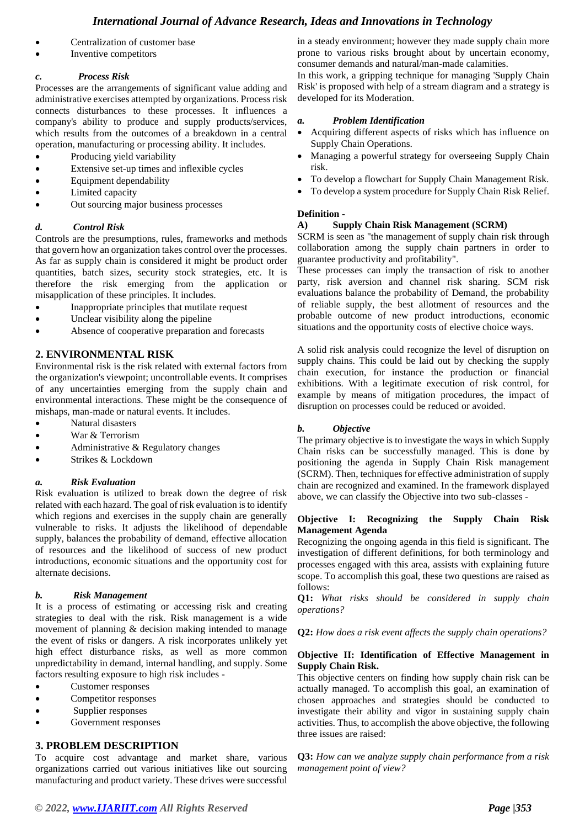# *International Journal of Advance Research, Ideas and Innovations in Technology*

- Centralization of customer base
- Inventive competitors

#### *c.**Process Risk*

Processes are the arrangements of significant value adding and administrative exercises attempted by organizations. Process risk connects disturbances to these processes. It influences a company's ability to produce and supply products/services, which results from the outcomes of a breakdown in a central operation, manufacturing or processing ability. It includes.

- Producing yield variability
- Extensive set-up times and inflexible cycles
- Equipment dependability
- Limited capacity
- Out sourcing major business processes

#### *d. Control Risk*

Controls are the presumptions, rules, frameworks and methods that govern how an organization takes control over the processes. As far as supply chain is considered it might be product order quantities, batch sizes, security stock strategies, etc. It is therefore the risk emerging from the application or misapplication of these principles. It includes.

- Inappropriate principles that mutilate request
- Unclear visibility along the pipeline
- Absence of cooperative preparation and forecasts

# **2. ENVIRONMENTAL RISK**

Environmental risk is the risk related with external factors from the organization's viewpoint; uncontrollable events. It comprises of any uncertainties emerging from the supply chain and environmental interactions. These might be the consequence of mishaps, man-made or natural events. It includes.

- Natural disasters
- War & Terrorism
- Administrative & Regulatory changes
- Strikes & Lockdown

#### *a. Risk Evaluation*

Risk evaluation is utilized to break down the degree of risk related with each hazard. The goal of risk evaluation is to identify which regions and exercises in the supply chain are generally vulnerable to risks. It adjusts the likelihood of dependable supply, balances the probability of demand, effective allocation of resources and the likelihood of success of new product introductions, economic situations and the opportunity cost for alternate decisions.

#### *b. Risk Management*

It is a process of estimating or accessing risk and creating strategies to deal with the risk. Risk management is a wide movement of planning & decision making intended to manage the event of risks or dangers. A risk incorporates unlikely yet high effect disturbance risks, as well as more common unpredictability in demand, internal handling, and supply. Some factors resulting exposure to high risk includes -

- Customer responses
- Competitor responses
- Supplier responses
- Government responses

#### **3. PROBLEM DESCRIPTION**

To acquire cost advantage and market share, various organizations carried out various initiatives like out sourcing manufacturing and product variety. These drives were successful

in a steady environment; however they made supply chain more prone to various risks brought about by uncertain economy, consumer demands and natural/man-made calamities.

In this work, a gripping technique for managing 'Supply Chain Risk' is proposed with help of a stream diagram and a strategy is developed for its Moderation.

#### *a. Problem Identification*

- Acquiring different aspects of risks which has influence on Supply Chain Operations.
- Managing a powerful strategy for overseeing Supply Chain risk.
- To develop a flowchart for Supply Chain Management Risk.
- To develop a system procedure for Supply Chain Risk Relief.

#### **Definition -**

#### **A) Supply Chain Risk Management (SCRM)**

SCRM is seen as "the management of supply chain risk through collaboration among the supply chain partners in order to guarantee productivity and profitability".

These processes can imply the transaction of risk to another party, risk aversion and channel risk sharing. SCM risk evaluations balance the probability of Demand, the probability of reliable supply, the best allotment of resources and the probable outcome of new product introductions, economic situations and the opportunity costs of elective choice ways.

A solid risk analysis could recognize the level of disruption on supply chains. This could be laid out by checking the supply chain execution, for instance the production or financial exhibitions. With a legitimate execution of risk control, for example by means of mitigation procedures, the impact of disruption on processes could be reduced or avoided.

#### *b. Objective*

The primary objective is to investigate the ways in which Supply Chain risks can be successfully managed. This is done by positioning the agenda in Supply Chain Risk management (SCRM). Then, techniques for effective administration of supply chain are recognized and examined. In the framework displayed above, we can classify the Objective into two sub-classes -

#### **Objective I: Recognizing the Supply Chain Risk Management Agenda**

Recognizing the ongoing agenda in this field is significant. The investigation of different definitions, for both terminology and processes engaged with this area, assists with explaining future scope. To accomplish this goal, these two questions are raised as follows:

**Q1:** *What risks should be considered in supply chain operations?*

**Q2:** *How does a risk event affects the supply chain operations?*

#### **Objective II: Identification of Effective Management in Supply Chain Risk.**

This objective centers on finding how supply chain risk can be actually managed. To accomplish this goal, an examination of chosen approaches and strategies should be conducted to investigate their ability and vigor in sustaining supply chain activities. Thus, to accomplish the above objective, the following three issues are raised:

**Q3:** *How can we analyze supply chain performance from a risk management point of view?*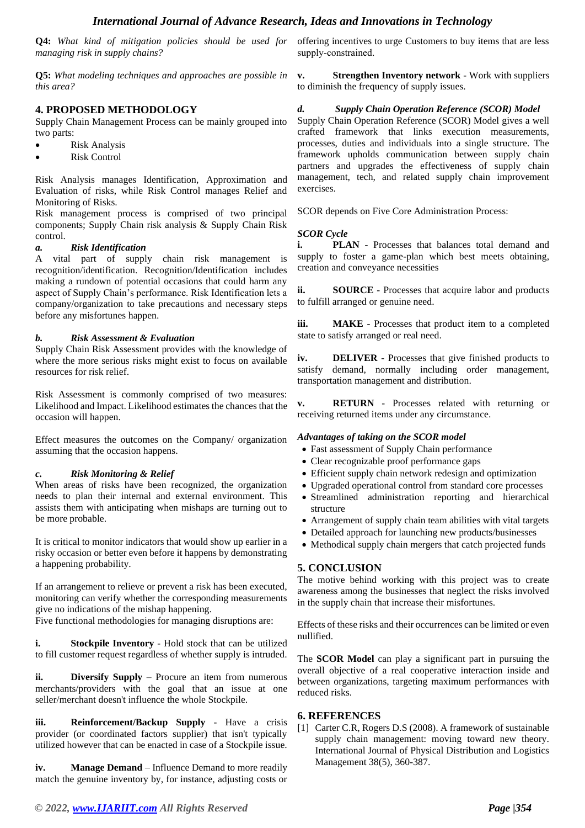**Q4:** *What kind of mitigation policies should be used for managing risk in supply chains?*

**Q5:** *What modeling techniques and approaches are possible in this area?*

# **4. PROPOSED METHODOLOGY**

Supply Chain Management Process can be mainly grouped into two parts:

- Risk Analysis
- **Risk Control**

Risk Analysis manages Identification, Approximation and Evaluation of risks, while Risk Control manages Relief and Monitoring of Risks.

Risk management process is comprised of two principal components; Supply Chain risk analysis & Supply Chain Risk control.

## *a. Risk Identification*

A vital part of supply chain risk management is recognition/identification. Recognition/Identification includes making a rundown of potential occasions that could harm any aspect of Supply Chain's performance. Risk Identification lets a company/organization to take precautions and necessary steps before any misfortunes happen.

#### *b. Risk Assessment & Evaluation*

Supply Chain Risk Assessment provides with the knowledge of where the more serious risks might exist to focus on available resources for risk relief.

Risk Assessment is commonly comprised of two measures: Likelihood and Impact. Likelihood estimates the chances that the occasion will happen.

Effect measures the outcomes on the Company/ organization assuming that the occasion happens.

#### *c. Risk Monitoring & Relief*

When areas of risks have been recognized, the organization needs to plan their internal and external environment. This assists them with anticipating when mishaps are turning out to be more probable.

It is critical to monitor indicators that would show up earlier in a risky occasion or better even before it happens by demonstrating a happening probability.

If an arrangement to relieve or prevent a risk has been executed, monitoring can verify whether the corresponding measurements give no indications of the mishap happening.

Five functional methodologies for managing disruptions are:

**i. Stockpile Inventory** - Hold stock that can be utilized to fill customer request regardless of whether supply is intruded.

**ii. Diversify Supply** – Procure an item from numerous merchants/providers with the goal that an issue at one seller/merchant doesn't influence the whole Stockpile.

**iii. Reinforcement/Backup Supply** - Have a crisis provider (or coordinated factors supplier) that isn't typically utilized however that can be enacted in case of a Stockpile issue.

**iv. Manage Demand** – Influence Demand to more readily match the genuine inventory by, for instance, adjusting costs or offering incentives to urge Customers to buy items that are less supply‐constrained.

**v. Strengthen Inventory network** - Work with suppliers to diminish the frequency of supply issues.

# *d. Supply Chain Operation Reference (SCOR) Model*

Supply Chain Operation Reference (SCOR) Model gives a well crafted framework that links execution measurements, processes, duties and individuals into a single structure. The framework upholds communication between supply chain partners and upgrades the effectiveness of supply chain management, tech, and related supply chain improvement exercises.

SCOR depends on Five Core Administration Process:

## *SCOR Cycle*

**i. PLAN** - Processes that balances total demand and supply to foster a game-plan which best meets obtaining, creation and conveyance necessities

**ii. SOURCE** - Processes that acquire labor and products to fulfill arranged or genuine need.

**iii. MAKE** - Processes that product item to a completed state to satisfy arranged or real need.

**iv. DELIVER** - Processes that give finished products to satisfy demand, normally including order management, transportation management and distribution.

**v. RETURN** - Processes related with returning or receiving returned items under any circumstance.

#### *Advantages of taking on the SCOR model*

- Fast assessment of Supply Chain performance
- Clear recognizable proof performance gaps
- Efficient supply chain network redesign and optimization
- Upgraded operational control from standard core processes
- Streamlined administration reporting and hierarchical structure
- Arrangement of supply chain team abilities with vital targets
- Detailed approach for launching new products/businesses
- Methodical supply chain mergers that catch projected funds

# **5. CONCLUSION**

The motive behind working with this project was to create awareness among the businesses that neglect the risks involved in the supply chain that increase their misfortunes.

Effects of these risks and their occurrences can be limited or even nullified.

The **SCOR Model** can play a significant part in pursuing the overall objective of a real cooperative interaction inside and between organizations, targeting maximum performances with reduced risks.

# **6. REFERENCES**

[1] Carter C.R, Rogers D.S (2008). A framework of sustainable supply chain management: moving toward new theory. International Journal of Physical Distribution and Logistics Management 38(5), 360-387.